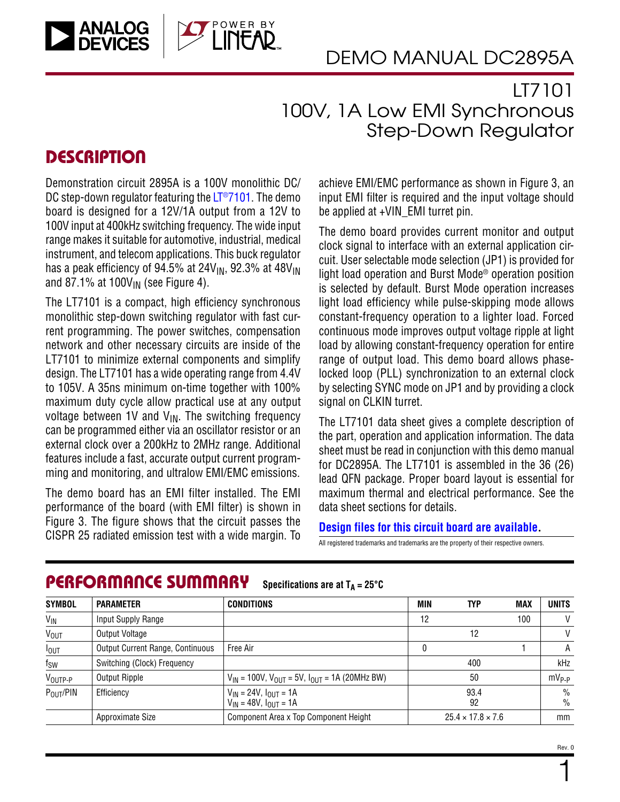

## LT7101 100V, 1A Low EMI Synchronous Step-Down Regulator

### **DESCRIPTION**

Demonstration circuit 2895A is a 100V monolithic DC/ DC step-down regulator featuring the  $LT^{\circ}7101$ . The demo board is designed for a 12V/1A output from a 12V to 100V input at 400kHz switching frequency. The wide input range makes it suitable for automotive, industrial, medical instrument, and telecom applications. This buck regulator has a peak efficiency of 94.5% at  $24V_{IN}$ , 92.3% at  $48V_{IN}$ and 87.1% at 100 $V_{IN}$  (see [Figure 4](#page-4-0)).

The LT7101 is a compact, high efficiency synchronous monolithic step-down switching regulator with fast current programming. The power switches, compensation network and other necessary circuits are inside of the LT7101 to minimize external components and simplify design. The LT7101 has a wide operating range from 4.4V to 105V. A 35ns minimum on-time together with 100% maximum duty cycle allow practical use at any output voltage between 1V and  $V_{IN}$ . The switching frequency can be programmed either via an oscillator resistor or an external clock over a 200kHz to 2MHz range. Additional features include a fast, accurate output current programming and monitoring, and ultralow EMI/EMC emissions.

The demo board has an EMI filter installed. The EMI performance of the board (with EMI filter) is shown in [Figure 3](#page-3-0). The figure shows that the circuit passes the CISPR 25 radiated emission test with a wide margin. To All registered trademarks and trademarks are the property of their respective owners.

achieve EMI/EMC performance as shown in [Figure 3](#page-3-0), an input EMI filter is required and the input voltage should be applied at +VIN\_EMI turret pin.

The demo board provides current monitor and output clock signal to interface with an external application circuit. User selectable mode selection (JP1) is provided for light load operation and Burst Mode® operation position is selected by default. Burst Mode operation increases light load efficiency while pulse-skipping mode allows constant-frequency operation to a lighter load. Forced continuous mode improves output voltage ripple at light load by allowing constant-frequency operation for entire range of output load. This demo board allows phaselocked loop (PLL) synchronization to an external clock by selecting SYNC mode on JP1 and by providing a clock signal on CLKIN turret.

The LT7101 data sheet gives a complete description of the part, operation and application information. The data sheet must be read in conjunction with this demo manual for DC2895A. The LT7101 is assembled in the 36 (26) lead QFN package. Proper board layout is essential for maximum thermal and electrical performance. See the data sheet sections for details.

### **[Design files for this circuit board are available](https://www.analog.com/en/design-center/evaluation-hardware-and-software/evaluation-boards-kits/DC2895A.pdf.html#eb-documentation?doc=DC2895A.pdf).**

| <b>SYMBOL</b>       | <b>PARAMETER</b>                 | <b>CONDITIONS</b>                                                | <b>MIN</b> | <b>TYP</b>                    | <b>MAX</b> | <b>UNITS</b> |
|---------------------|----------------------------------|------------------------------------------------------------------|------------|-------------------------------|------------|--------------|
| $V_{\text{IN}}$     | Input Supply Range               |                                                                  | 12         |                               | 100        | V            |
| <b>VOUT</b>         | Output Voltage                   |                                                                  |            | 12                            |            | $\mathsf{V}$ |
| $I_{OUT}$           | Output Current Range, Continuous | Free Air                                                         | 0          |                               |            | A            |
| $f_{SW}$            | Switching (Clock) Frequency      |                                                                  |            | 400                           |            | kHz          |
| $V_{\text{OUTP-P}}$ | Output Ripple                    | $V_{IN}$ = 100V, $V_{OUT}$ = 5V, $I_{OUT}$ = 1A (20MHz BW)       |            | 50                            |            | $mV_{P-P}$   |
| $P_{OUT}/PIN$       | Efficiency                       | $V_{IN}$ = 24V, $I_{OUT}$ = 1A<br>$V_{IN}$ = 48V, $I_{OUT}$ = 1A |            | 93.4<br>92                    |            | $\%$<br>$\%$ |
|                     | Approximate Size                 | Component Area x Top Component Height                            |            | $25.4 \times 17.8 \times 7.6$ |            | mm           |

#### PERFORMANCE SUMMARY Specifications are at  $T_A = 25^\circ C$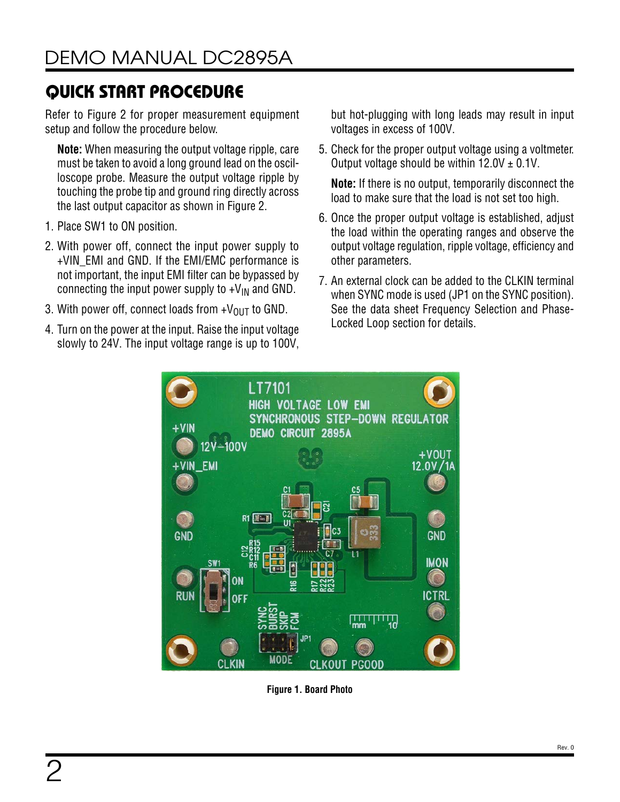Refer to [Figure 2](#page-2-0) for proper measurement equipment setup and follow the procedure below.

**Note:** When measuring the output voltage ripple, care must be taken to avoid a long ground lead on the oscilloscope probe. Measure the output voltage ripple by touching the probe tip and ground ring directly across the last output capacitor as shown in [Figure 2](#page-2-0).

- 1. Place SW1 to ON position.
- 2. With power off, connect the input power supply to +VIN\_EMI and GND. If the EMI/EMC performance is not important, the input EMI filter can be bypassed by connecting the input power supply to  $+V_{IN}$  and GND.
- 3. With power off, connect loads from  $+V_{\text{OUT}}$  to GND.
- 4. Turn on the power at the input. Raise the input voltage slowly to 24V. The input voltage range is up to 100V,

but hot-plugging with long leads may result in input voltages in excess of 100V.

5. Check for the proper output voltage using a voltmeter. Output voltage should be within  $12.0V \pm 0.1V$ .

**Note:** If there is no output, temporarily disconnect the load to make sure that the load is not set too high.

- 6. Once the proper output voltage is established, adjust the load within the operating ranges and observe the output voltage regulation, ripple voltage, efficiency and other parameters.
- 7. An external clock can be added to the CLKIN terminal when SYNC mode is used (JP1 on the SYNC position). See the data sheet Frequency Selection and Phase-Locked Loop section for details.



**Figure 1. Board Photo**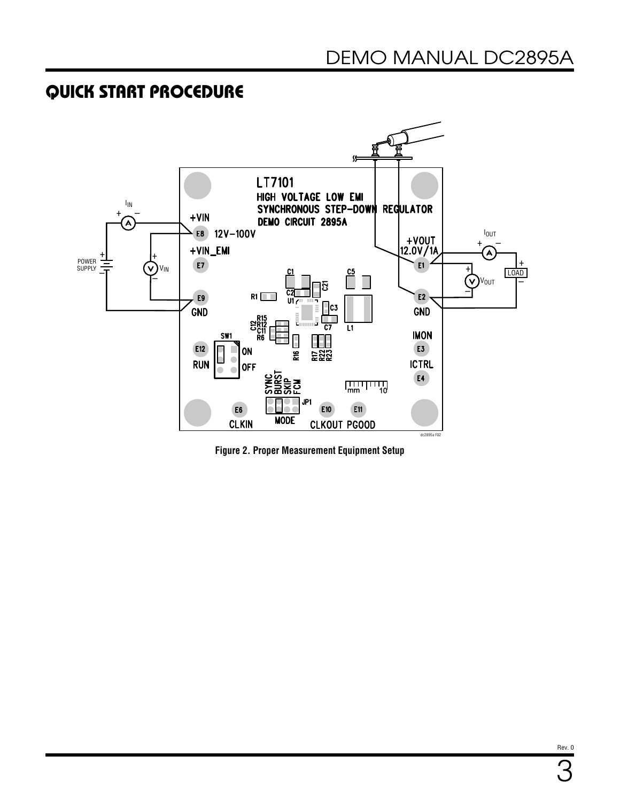

<span id="page-2-0"></span>**Figure 2. Proper Measurement Equipment Setup**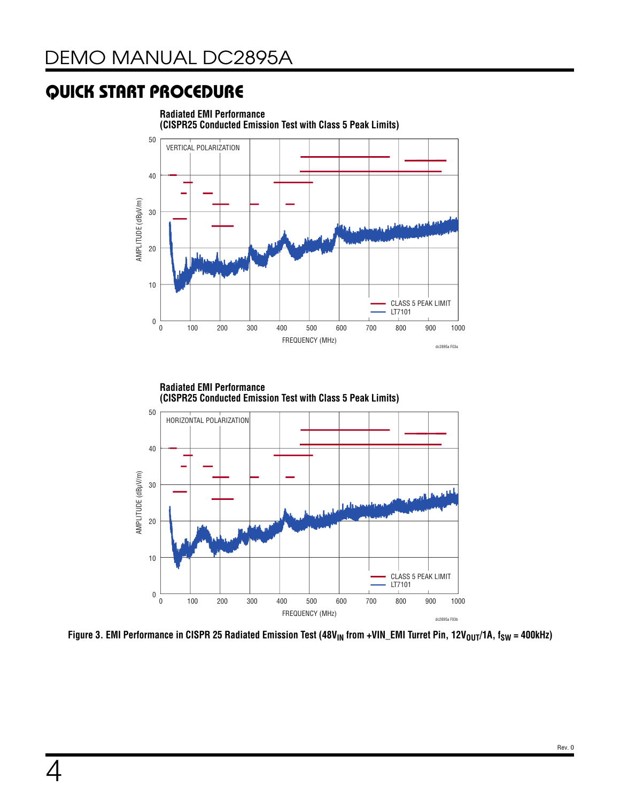



<span id="page-3-0"></span>Figure 3. EMI Performance in CISPR 25 Radiated Emission Test (48V<sub>IN</sub> from +VIN\_EMI Turret Pin, 12V<sub>OUT</sub>/1A, f<sub>SW</sub> = 400kHz)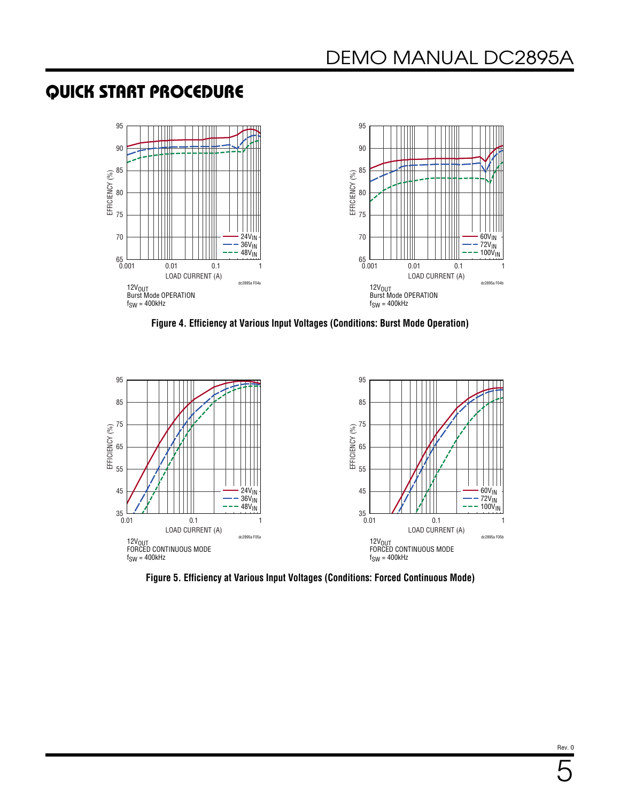

<span id="page-4-0"></span>**Figure 4. Efficiency at Various Input Voltages (Conditions: Burst Mode Operation)**



**Figure 5. Efficiency at Various Input Voltages (Conditions: Forced Continuous Mode)**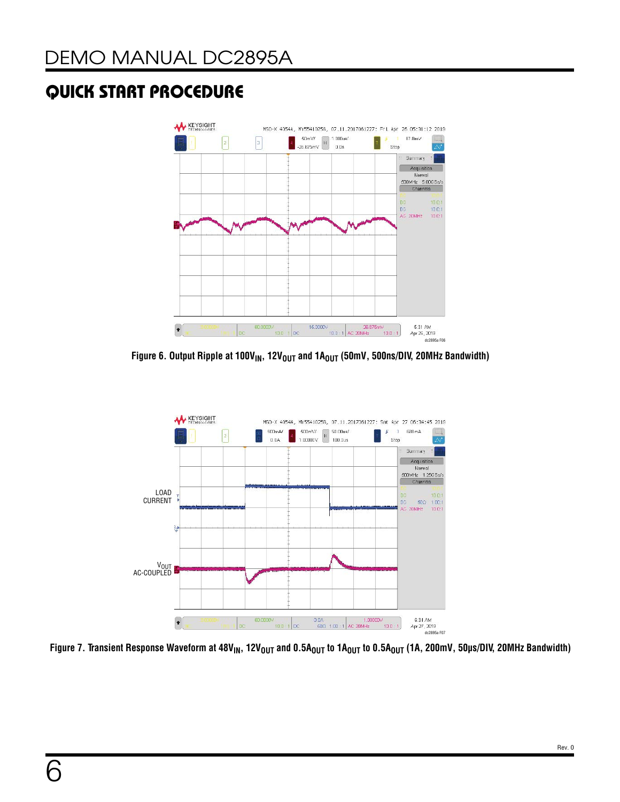

Figure 6. Output Ripple at 100V<sub>IN</sub>, 12V<sub>OUT</sub> and 1A<sub>OUT</sub> (50mV, 500ns/DIV, 20MHz Bandwidth)



Figure 7. Transient Response Waveform at 48V<sub>IN</sub>, 12V<sub>OUT</sub> and 0.5A<sub>OUT</sub> to 1A<sub>OUT</sub> to 0.5A<sub>OUT</sub> (1A, 200mV, 50µs/DIV, 20MHz Bandwidth)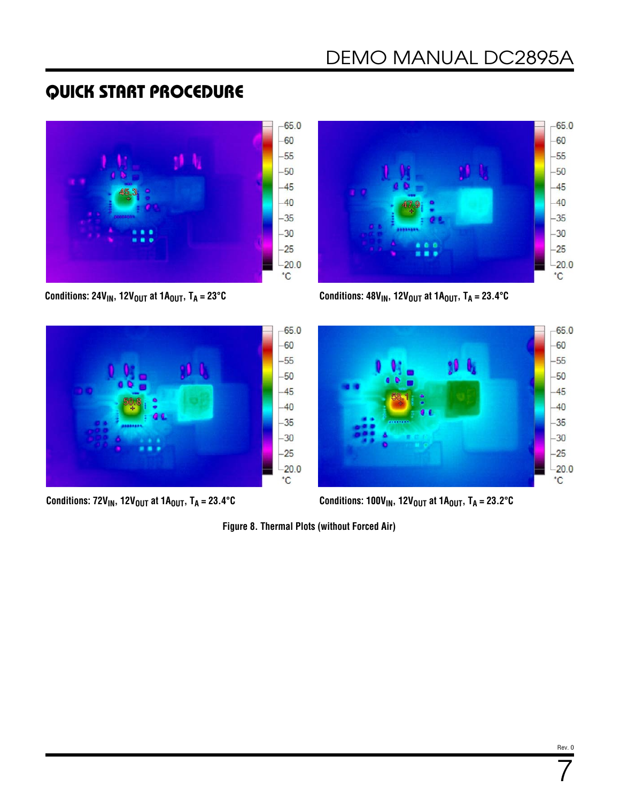





**Conditions: 24V<sub>IN</sub>, 12V<sub>OUT</sub> at 1A<sub>OUT</sub>, T<sub>A</sub> = 23°C <b>Conditions: 48V<sub>IN</sub>, 12V<sub>OUT</sub> at 1A<sub>OUT</sub>**, T<sub>A</sub> = 23.4°C



**Conditions:**  $72V_{IN}$ **,**  $12V_{OUT}$  **at**  $1A_{OUT}$ **,**  $T_A = 23.4^{\circ}C$  **<b>Conditions:**  $100V_{IN}$ **,**  $12V_{OUT}$  **at**  $1A_{OUT}$ **,**  $T_A = 23.2^{\circ}C$ 

**Figure 8. Thermal Plots (without Forced Air)**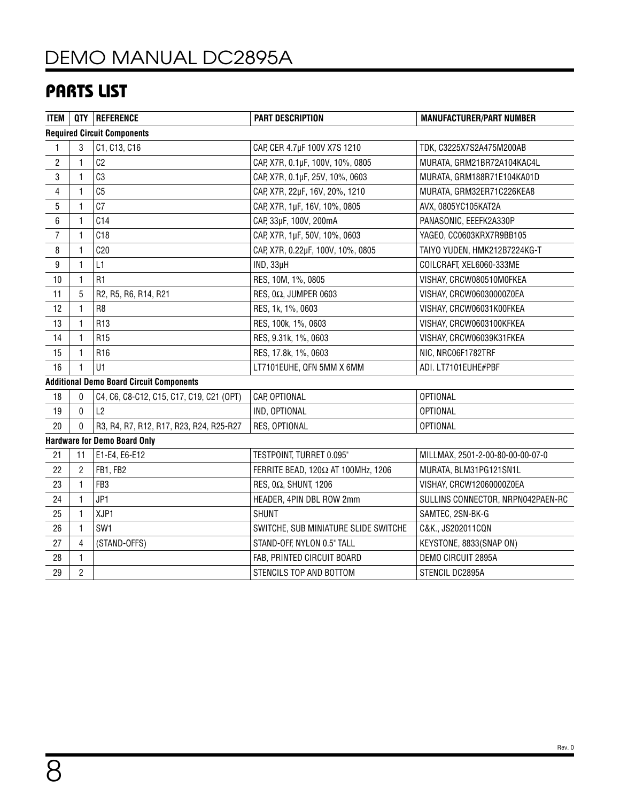# [DEMO MANUAL DC2895A](https://www.analog.com/DC2895A)

## PARTS LIST

| <b>ITEM</b>                        |                | QTY   REFERENCE                                 | <b>PART DESCRIPTION</b>              | <b>MANUFACTURER/PART NUMBER</b>   |  |  |  |  |  |
|------------------------------------|----------------|-------------------------------------------------|--------------------------------------|-----------------------------------|--|--|--|--|--|
| <b>Required Circuit Components</b> |                |                                                 |                                      |                                   |  |  |  |  |  |
| 1                                  | 3              | C1, C13, C16                                    | CAP, CER 4.7µF 100V X7S 1210         | TDK, C3225X7S2A475M200AB          |  |  |  |  |  |
| $\overline{c}$                     | 1              | C <sub>2</sub>                                  | CAP, X7R, 0.1µF, 100V, 10%, 0805     | MURATA, GRM21BR72A104KAC4L        |  |  |  |  |  |
| 3                                  | $\mathbf{1}$   | C <sub>3</sub>                                  | CAP, X7R, 0.1µF, 25V, 10%, 0603      | MURATA, GRM188R71E104KA01D        |  |  |  |  |  |
| 4                                  | 1              | C <sub>5</sub>                                  | CAP, X7R, 22µF, 16V, 20%, 1210       | MURATA, GRM32ER71C226KEA8         |  |  |  |  |  |
| 5                                  | 1              | C <sub>7</sub>                                  | CAP, X7R, 1µF, 16V, 10%, 0805        | AVX, 0805YC105KAT2A               |  |  |  |  |  |
| 6                                  | 1              | C14                                             | CAP, 33µF, 100V, 200mA               | PANASONIC, EEEFK2A330P            |  |  |  |  |  |
| $\overline{7}$                     | 1              | C18                                             | CAP, X7R, 1µF, 50V, 10%, 0603        | YAGEO, CC0603KRX7R9BB105          |  |  |  |  |  |
| 8                                  | 1              | C20                                             | CAP, X7R, 0.22µF, 100V, 10%, 0805    | TAIYO YUDEN, HMK212B7224KG-T      |  |  |  |  |  |
| 9                                  | 1              | L1                                              | IND, 33µH                            | COILCRAFT, XEL6060-333ME          |  |  |  |  |  |
| 10                                 | 1              | R1                                              | RES, 10M, 1%, 0805                   | VISHAY, CRCW080510M0FKEA          |  |  |  |  |  |
| 11                                 | 5              | R2, R5, R6, R14, R21                            | RES, 0 $\Omega$ , JUMPER 0603        | VISHAY, CRCW06030000Z0EA          |  |  |  |  |  |
| 12                                 | 1              | R8                                              | RES, 1k, 1%, 0603                    | VISHAY, CRCW06031K00FKEA          |  |  |  |  |  |
| 13                                 | 1              | R <sub>13</sub>                                 | RES, 100k, 1%, 0603                  | VISHAY, CRCW0603100KFKEA          |  |  |  |  |  |
| 14                                 | $\mathbf{1}$   | R <sub>15</sub>                                 | RES, 9.31k, 1%, 0603                 | VISHAY, CRCW06039K31FKEA          |  |  |  |  |  |
| 15                                 | 1              | R <sub>16</sub>                                 | RES, 17.8k, 1%, 0603                 | NIC, NRC06F1782TRF                |  |  |  |  |  |
| 16                                 | 1              | U1                                              | LT7101EUHE, QFN 5MM X 6MM            | ADI. LT7101EUHE#PBF               |  |  |  |  |  |
|                                    |                | <b>Additional Demo Board Circuit Components</b> |                                      |                                   |  |  |  |  |  |
| 18                                 | 0              | C4, C6, C8-C12, C15, C17, C19, C21 (OPT)        | CAP, OPTIONAL                        | <b>OPTIONAL</b>                   |  |  |  |  |  |
| 19                                 | 0              | L2                                              | IND, OPTIONAL                        | <b>OPTIONAL</b>                   |  |  |  |  |  |
| 20                                 | 0              | R3, R4, R7, R12, R17, R23, R24, R25-R27         | RES, OPTIONAL                        | <b>OPTIONAL</b>                   |  |  |  |  |  |
|                                    |                | <b>Hardware for Demo Board Only</b>             |                                      |                                   |  |  |  |  |  |
| 21                                 | 11             | E1-E4, E6-E12                                   | TESTPOINT, TURRET 0.095"             | MILLMAX, 2501-2-00-80-00-00-07-0  |  |  |  |  |  |
| 22                                 | $\overline{c}$ | FB1, FB2                                        | FERRITE BEAD, 120Ω AT 100MHz, 1206   | MURATA, BLM31PG121SN1L            |  |  |  |  |  |
| 23                                 | 1              | FB <sub>3</sub>                                 | RES, $0\Omega$ , SHUNT, 1206         | VISHAY, CRCW12060000Z0EA          |  |  |  |  |  |
| 24                                 | 1              | JP1                                             | HEADER, 4PIN DBL ROW 2mm             | SULLINS CONNECTOR, NRPN042PAEN-RC |  |  |  |  |  |
| 25                                 | 1              | XJP1                                            | <b>SHUNT</b>                         | SAMTEC, 2SN-BK-G                  |  |  |  |  |  |
| 26                                 | 1              | SW1                                             | SWITCHE, SUB MINIATURE SLIDE SWITCHE | C&K., JS202011CQN                 |  |  |  |  |  |
| 27                                 | 4              | (STAND-OFFS)                                    | STAND-OFF, NYLON 0.5" TALL           | KEYSTONE, 8833(SNAP ON)           |  |  |  |  |  |
| 28                                 | 1              |                                                 | FAB, PRINTED CIRCUIT BOARD           | DEMO CIRCUIT 2895A                |  |  |  |  |  |
| 29                                 | $\overline{2}$ |                                                 | STENCILS TOP AND BOTTOM              | STENCIL DC2895A                   |  |  |  |  |  |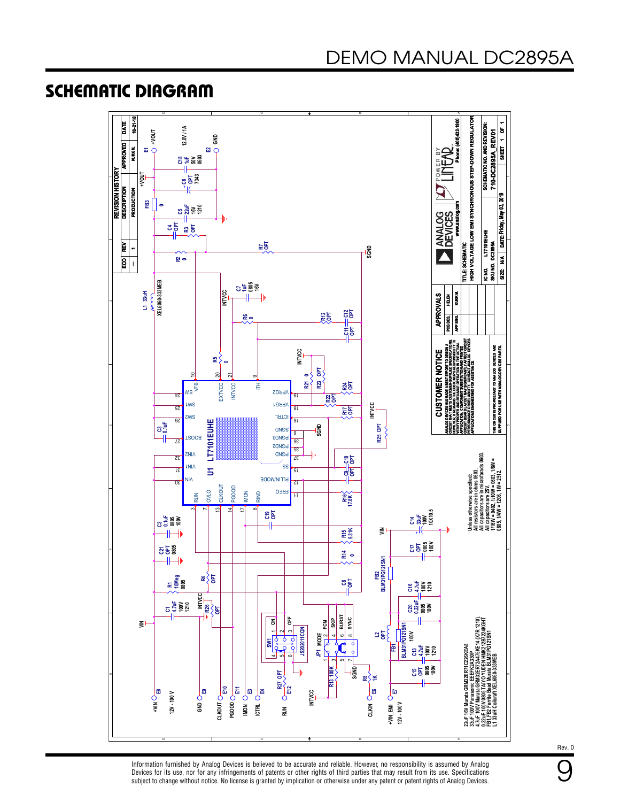### SCHEMATIC DIAGRAM



Information furnished by Analog Devices is believed to be accurate and reliable. However, no responsibility is assumed by Analog Devices for its use, nor for any infringements of patents or other rights of third parties that may result from its use. Specifications subject to change without notice. No license is granted by implication or otherwise under any patent or patent rights of Analog Devices. Rev. 0